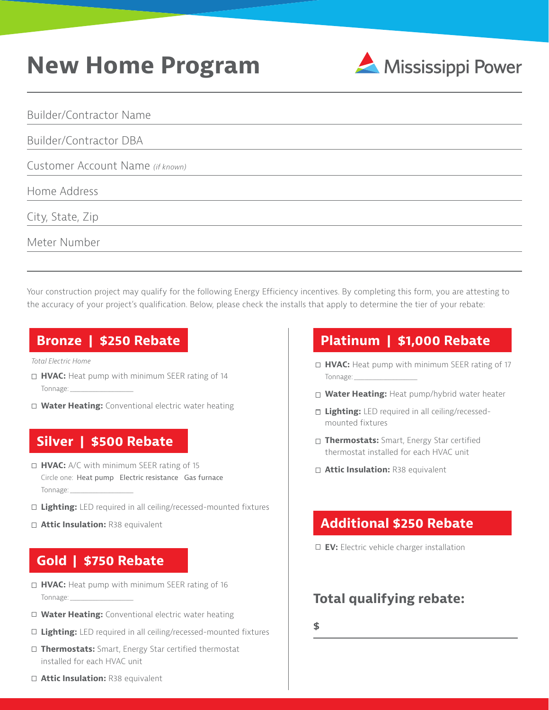## **New Home Program**



Builder/Contractor Name

Builder/Contractor DBA

Customer Account Name *(if known)*

Home Address

City, State, Zip

Meter Number

Your construction project may qualify for the following Energy Efficiency incentives. By completing this form, you are attesting to the accuracy of your project's qualification. Below, please check the installs that apply to determine the tier of your rebate:

#### **Bronze | \$250 Rebate**

*Total Electric Home*

- □ HVAC: Heat pump with minimum SEER rating of 14 Tonnage: *\_\_\_\_\_\_\_\_\_\_\_\_\_\_\_\_\_\_\_\_\_\_\_\_*
- **Water Heating:** Conventional electric water heating

### **Silver | \$500 Rebate**

- **Attic Insulation:** R38 equivalent **HVAC:** A/C with minimum SEER rating of 15 Circle one:Heat pump Electric resistance Gas furnace Tonnage: *\_\_\_\_\_\_\_\_\_\_\_\_\_\_\_\_\_\_\_\_\_\_\_\_*
- **Lighting:** LED required in all ceiling/recessed-mounted fixtures
- **□ Attic Insulation:** R38 equivalent

#### **Gold | \$750 Rebate**

- □ HVAC: Heat pump with minimum SEER rating of 16 Tonnage: *\_\_\_\_\_\_\_\_\_\_\_\_\_\_\_\_\_\_\_\_\_\_\_\_*
- **Water Heating:** Conventional electric water heating
- **Lighting:** LED required in all ceiling/recessed-mounted fixtures
- □ Thermostats: Smart, Energy Star certified thermostat installed for each HVAC unit

#### **Platinum | \$1,000 Rebate**

- □ HVAC: Heat pump with minimum SEER rating of 17 Tonnage: *\_\_\_\_\_\_\_\_\_\_\_\_\_\_\_\_\_\_\_\_\_\_\_\_*
- **Water Heating:** Heat pump/hybrid water heater
- □ Lighting: LED required in all ceiling/recessedmounted fixtures
- **Thermostats:** Smart, Energy Star certified thermostat installed for each HVAC unit
- 

#### **Additional \$250 Rebate**

**EV:** Electric vehicle charger installation

#### **Total qualifying rebate:**

**\$**

**Attic Insulation:** R38 equivalent